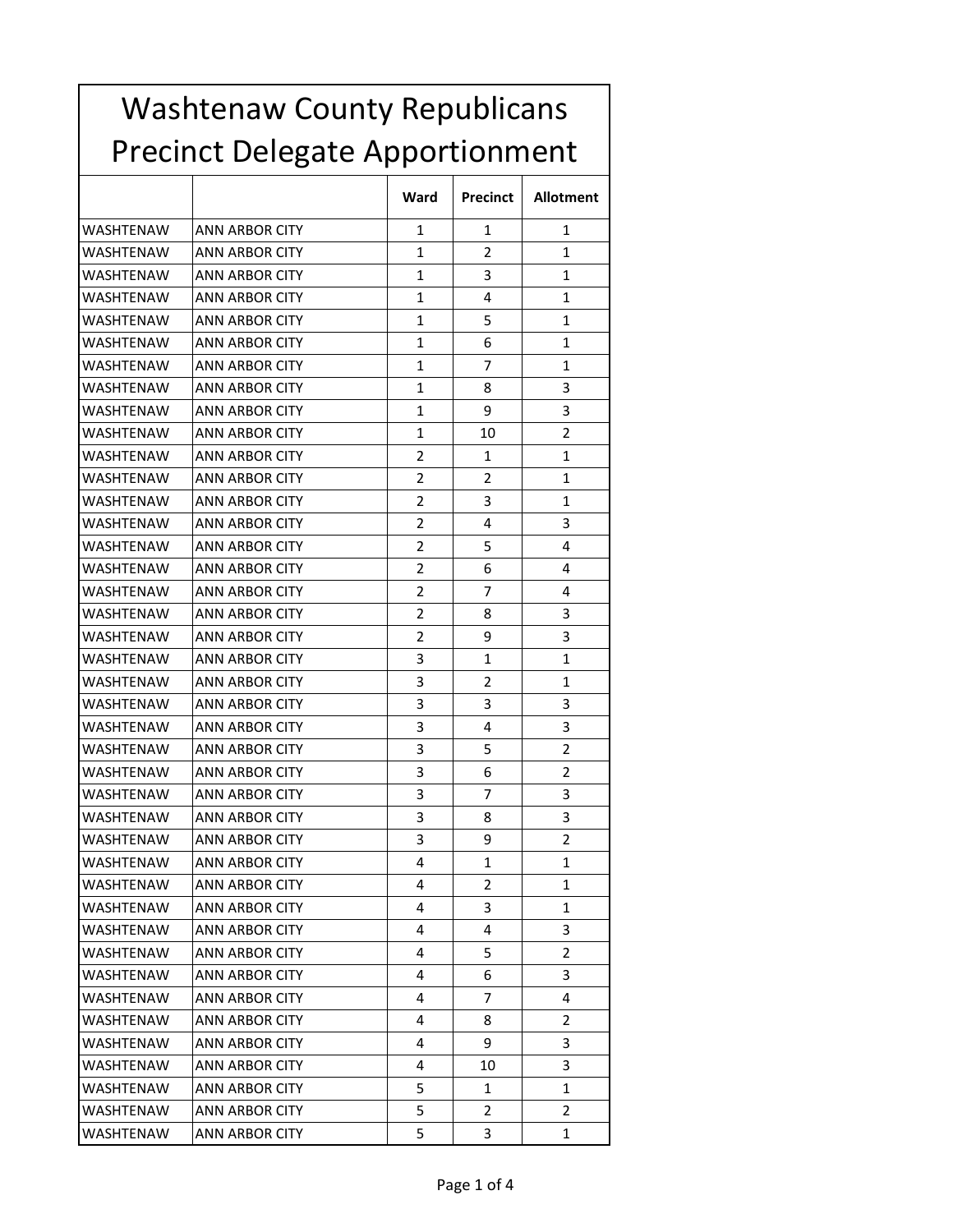| <b>Washtenaw County Republicans</b>    |                       |                |                 |                  |
|----------------------------------------|-----------------------|----------------|-----------------|------------------|
| <b>Precinct Delegate Apportionment</b> |                       |                |                 |                  |
|                                        |                       | Ward           | <b>Precinct</b> | <b>Allotment</b> |
| WASHTENAW                              | ANN ARBOR CITY        | 1              | 1               | 1                |
| WASHTENAW                              | ANN ARBOR CITY        | 1              | 2               | 1                |
| WASHTENAW                              | ANN ARBOR CITY        | 1              | 3               | 1                |
| WASHTENAW                              | <b>ANN ARBOR CITY</b> | 1              | 4               | 1                |
| <b>WASHTENAW</b>                       | ANN ARBOR CITY        | 1              | 5               | 1                |
| WASHTENAW                              | ANN ARBOR CITY        | 1              | 6               | 1                |
| WASHTENAW                              | ANN ARBOR CITY        | 1              | 7               | 1                |
| WASHTENAW                              | ANN ARBOR CITY        | 1              | 8               | 3                |
| WASHTENAW                              | <b>ANN ARBOR CITY</b> | 1              | 9               | 3                |
| WASHTENAW                              | ANN ARBOR CITY        | 1              | 10              | $\overline{2}$   |
| WASHTENAW                              | ANN ARBOR CITY        | 2              | 1               | 1                |
| WASHTENAW                              | ANN ARBOR CITY        | 2              | 2               | 1                |
| WASHTENAW                              | <b>ANN ARBOR CITY</b> | $\overline{2}$ | 3               | 1                |
| WASHTENAW                              | ANN ARBOR CITY        | 2              | 4               | 3                |
| WASHTENAW                              | ANN ARBOR CITY        | 2              | 5               | 4                |
| <b>WASHTENAW</b>                       | ANN ARBOR CITY        | 2              | 6               | 4                |
| WASHTENAW                              | ANN ARBOR CITY        | 2              | 7               | 4                |
| WASHTENAW                              | ANN ARBOR CITY        | 2              | 8               | 3                |
| <b>WASHTENAW</b>                       | ANN ARBOR CITY        | 2              | 9               | 3                |
| WASHTENAW                              | ANN ARBOR CITY        | 3              | 1               | 1                |
| WASHTENAW                              | ANN ARBOR CITY        | 3              | 2               | 1                |
| WASHTENAW                              | ANN ARBOR CITY        | 3              | 3               | 3                |
| WASHTENAW                              | ANN ARBOR CITY        | 3              | 4               | 3                |
| <b>WASHTENAW</b>                       | <b>ANN ARBOR CITY</b> | 3              | 5               | 2                |
| <b>WASHTENAW</b>                       | ANN ARBOR CITY        | 3              | 6               | $\overline{2}$   |
| WASHTENAW                              | <b>ANN ARBOR CITY</b> | 3              | 7               | 3                |
| WASHTENAW                              | ANN ARBOR CITY        | 3              | 8               | 3                |
| WASHTENAW                              | ANN ARBOR CITY        | 3              | 9               | 2                |
| WASHTENAW                              | <b>ANN ARBOR CITY</b> | 4              | 1               | 1                |
| WASHTENAW                              | <b>ANN ARBOR CITY</b> | 4              | 2               | 1                |
| WASHTENAW                              | ANN ARBOR CITY        | 4              | 3               | 1                |
| WASHTENAW                              | <b>ANN ARBOR CITY</b> | 4              | 4               | 3                |
| WASHTENAW                              | ANN ARBOR CITY        | 4              | 5               | 2                |
| WASHTENAW                              | ANN ARBOR CITY        | 4              | 6               | 3                |
| WASHTENAW                              | <b>ANN ARBOR CITY</b> | 4              | 7               | 4                |
| WASHTENAW                              | ANN ARBOR CITY        | 4              | 8               | 2                |
| WASHTENAW                              | ANN ARBOR CITY        | 4              | 9               | 3                |
| WASHTENAW                              | <b>ANN ARBOR CITY</b> | 4              | 10              | 3                |
| WASHTENAW                              | <b>ANN ARBOR CITY</b> | 5              | $\mathbf{1}$    | 1                |
| WASHTENAW                              | ANN ARBOR CITY        | 5.             | 2               | 2                |
| WASHTENAW                              | <b>ANN ARBOR CITY</b> | 5              | 3               | 1                |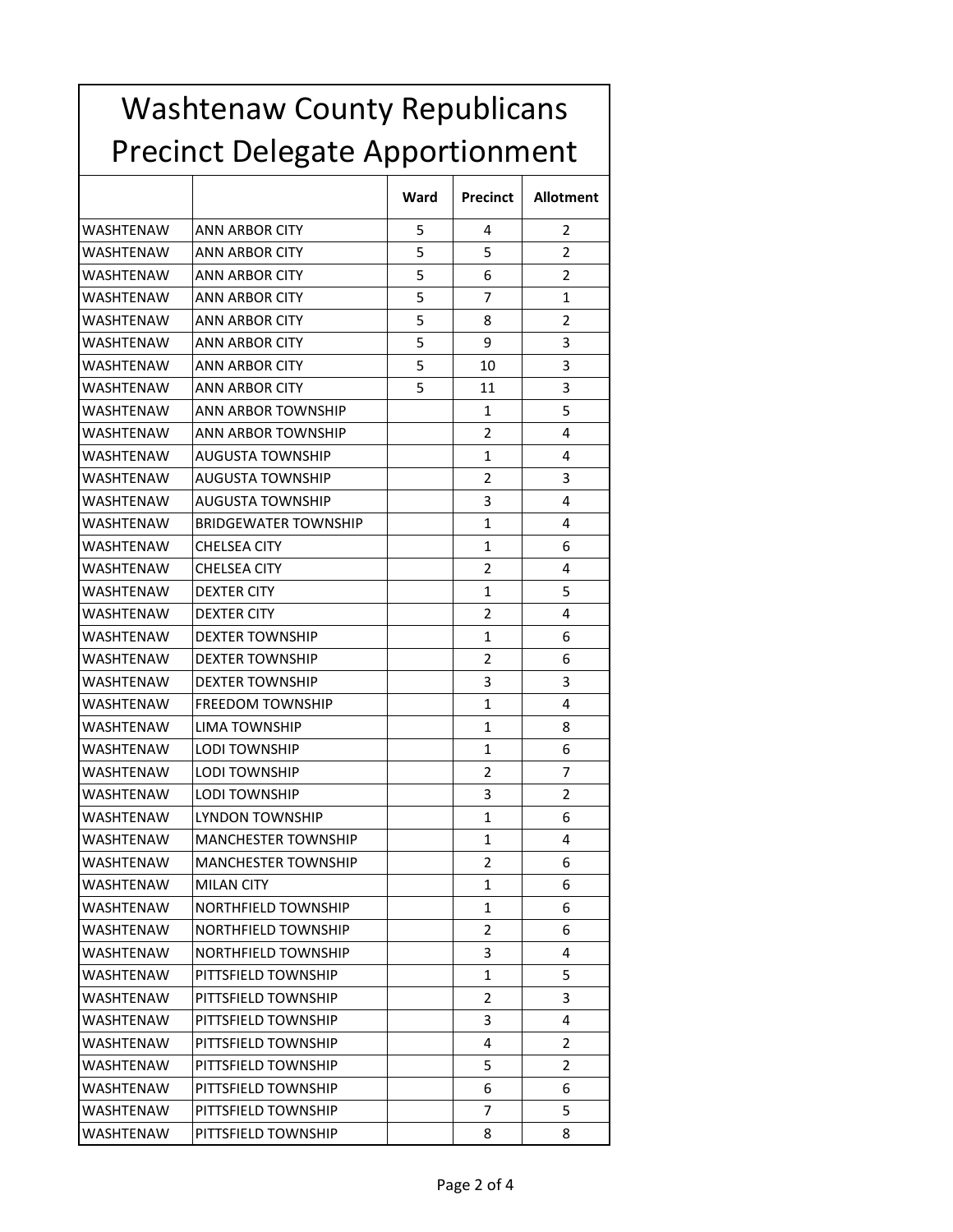| <b>Washtenaw County Republicans</b><br><b>Precinct Delegate Apportionment</b> |                             |   |                |   |
|-------------------------------------------------------------------------------|-----------------------------|---|----------------|---|
|                                                                               |                             |   |                |   |
| WASHTENAW                                                                     | ANN ARBOR CITY              | 5 | 4              | 2 |
| WASHTENAW                                                                     | ANN ARBOR CITY              | 5 | 5              | 2 |
| WASHTENAW                                                                     | ANN ARBOR CITY              | 5 | 6              | 2 |
| WASHTENAW                                                                     | <b>ANN ARBOR CITY</b>       | 5 | 7              | 1 |
| WASHTENAW                                                                     | ANN ARBOR CITY              | 5 | 8              | 2 |
| <b>WASHTENAW</b>                                                              | <b>ANN ARBOR CITY</b>       | 5 | 9              | 3 |
| <b>WASHTENAW</b>                                                              | ANN ARBOR CITY              | 5 | 10             | 3 |
| <b>WASHTENAW</b>                                                              | ANN ARBOR CITY              | 5 | 11             | 3 |
| WASHTENAW                                                                     | <b>ANN ARBOR TOWNSHIP</b>   |   | 1              | 5 |
| WASHTENAW                                                                     | <b>ANN ARBOR TOWNSHIP</b>   |   | 2              | 4 |
| <b>WASHTENAW</b>                                                              | <b>AUGUSTA TOWNSHIP</b>     |   | 1              | 4 |
| WASHTENAW                                                                     | AUGUSTA TOWNSHIP            |   | 2              | 3 |
| <b>WASHTENAW</b>                                                              | <b>AUGUSTA TOWNSHIP</b>     |   | 3              | 4 |
| WASHTENAW                                                                     | <b>BRIDGEWATER TOWNSHIP</b> |   | 1              | 4 |
| WASHTENAW                                                                     | <b>CHELSEA CITY</b>         |   | 1              | 6 |
| WASHTENAW                                                                     | <b>CHELSEA CITY</b>         |   | 2              | 4 |
| WASHTENAW                                                                     | <b>DEXTER CITY</b>          |   | 1              | 5 |
| <b>WASHTENAW</b>                                                              | <b>DEXTER CITY</b>          |   | 2              | 4 |
| WASHTENAW                                                                     | <b>DEXTER TOWNSHIP</b>      |   | 1              | 6 |
| <b>WASHTENAW</b>                                                              | <b>DEXTER TOWNSHIP</b>      |   | 2              | 6 |
| WASHTENAW                                                                     | <b>DEXTER TOWNSHIP</b>      |   | 3              | 3 |
| WASHTENAW                                                                     | FREEDOM TOWNSHIP            |   | 1              | 4 |
| WASHTENAW                                                                     | LIMA TOWNSHIP               |   | $\mathbf{1}$   | 8 |
| WASHTENAW                                                                     | <b>LODI TOWNSHIP</b>        |   | 1              | 6 |
| WASHTENAW                                                                     | <b>LODI TOWNSHIP</b>        |   | 2              | 7 |
| <b>WASHTENAW</b>                                                              | <b>LODI TOWNSHIP</b>        |   | 3              | 2 |
| WASHTENAW                                                                     | LYNDON TOWNSHIP             |   | 1              | 6 |
| WASHTENAW                                                                     | <b>MANCHESTER TOWNSHIP</b>  |   | $\mathbf{1}$   | 4 |
| WASHTENAW                                                                     | <b>MANCHESTER TOWNSHIP</b>  |   | 2              | 6 |
|                                                                               |                             |   |                |   |
| WASHTENAW                                                                     | <b>MILAN CITY</b>           |   | 1              | 6 |
| WASHTENAW                                                                     | NORTHFIELD TOWNSHIP         |   | 1              | 6 |
| WASHTENAW                                                                     | NORTHFIELD TOWNSHIP         |   | 2              | 6 |
| WASHTENAW                                                                     | NORTHFIELD TOWNSHIP         |   | 3              | 4 |
| WASHTENAW                                                                     | PITTSFIELD TOWNSHIP         |   | 1              | 5 |
| WASHTENAW                                                                     | PITTSFIELD TOWNSHIP         |   | $\overline{2}$ | 3 |
| WASHTENAW                                                                     | PITTSFIELD TOWNSHIP         |   | 3              | 4 |
| WASHTENAW                                                                     | PITTSFIELD TOWNSHIP         |   | 4              | 2 |
| WASHTENAW                                                                     | PITTSFIELD TOWNSHIP         |   | 5              | 2 |
| WASHTENAW                                                                     | PITTSFIELD TOWNSHIP         |   | 6              | 6 |
| WASHTENAW                                                                     | PITTSFIELD TOWNSHIP         |   | 7              | 5 |

WASHTENAW PITTSFIELD TOWNSHIP 8 8 8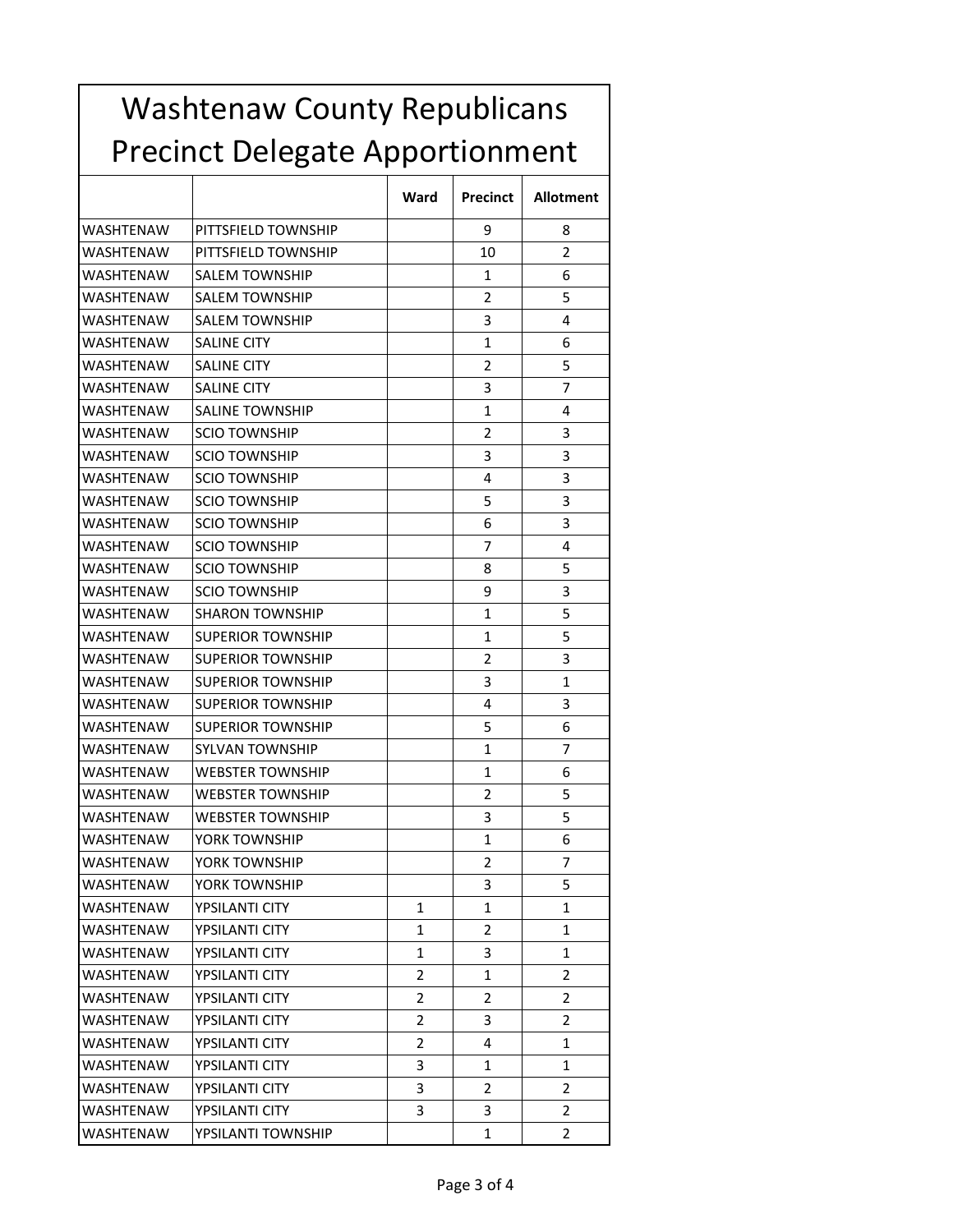| <b>Washtenaw County Republicans</b>    |                          |                |                 |                  |
|----------------------------------------|--------------------------|----------------|-----------------|------------------|
| <b>Precinct Delegate Apportionment</b> |                          |                |                 |                  |
|                                        |                          | Ward           | <b>Precinct</b> | <b>Allotment</b> |
| WASHTENAW                              | PITTSFIELD TOWNSHIP      |                | 9               | 8                |
| <b>WASHTENAW</b>                       | PITTSFIELD TOWNSHIP      |                | 10              | 2                |
| <b>WASHTENAW</b>                       | <b>SALEM TOWNSHIP</b>    |                | 1               | 6                |
| WASHTENAW                              | <b>SALEM TOWNSHIP</b>    |                | 2               | 5                |
| WASHTENAW                              | <b>SALEM TOWNSHIP</b>    |                | 3               | 4                |
| WASHTENAW                              | <b>SALINE CITY</b>       |                | 1               | 6                |
| WASHTENAW                              | <b>SALINE CITY</b>       |                | $\overline{2}$  | 5                |
| WASHTENAW                              | SALINE CITY              |                | 3               | 7                |
| <b>WASHTENAW</b>                       | <b>SALINE TOWNSHIP</b>   |                | 1               | 4                |
| WASHTENAW                              | <b>SCIO TOWNSHIP</b>     |                | 2               | 3                |
| WASHTENAW                              | <b>SCIO TOWNSHIP</b>     |                | 3               | 3                |
| WASHTENAW                              | <b>SCIO TOWNSHIP</b>     |                | 4               | 3                |
| WASHTENAW                              | <b>SCIO TOWNSHIP</b>     |                | 5               | 3                |
| <b>WASHTENAW</b>                       | <b>SCIO TOWNSHIP</b>     |                | 6               | 3                |
| WASHTENAW                              | <b>SCIO TOWNSHIP</b>     |                | 7               | 4                |
| <b>WASHTENAW</b>                       | <b>SCIO TOWNSHIP</b>     |                | 8               | 5                |
| WASHTENAW                              | <b>SCIO TOWNSHIP</b>     |                | 9               | 3                |
| WASHTENAW                              | <b>SHARON TOWNSHIP</b>   |                | 1               | 5                |
| WASHTENAW                              | <b>SUPERIOR TOWNSHIP</b> |                | 1               | 5                |
| WASHTENAW                              | <b>SUPERIOR TOWNSHIP</b> |                | 2               | 3                |
| <b>WASHTENAW</b>                       | <b>SUPERIOR TOWNSHIP</b> |                | 3               | 1                |
| WASHTENAW                              | <b>SUPERIOR TOWNSHIP</b> |                | 4               | 3                |
| <b>WASHTENAW</b>                       | <b>SUPERIOR TOWNSHIP</b> |                | 5               | 6                |
| WASHTENAW                              | <b>SYLVAN TOWNSHIP</b>   |                | 1               | 7                |
| WASHTENAW                              | <b>WEBSTER TOWNSHIP</b>  |                | 1               | 6                |
| WASHTENAW                              | WEBSTER TOWNSHIP         |                | 2               | 5                |
| WASHTENAW                              | WEBSTER TOWNSHIP         |                | 3               | 5.               |
| WASHTENAW                              | YORK TOWNSHIP            |                | 1               | 6                |
| WASHTENAW                              | YORK TOWNSHIP            |                | 2               | 7                |
| WASHTENAW                              | YORK TOWNSHIP            |                | 3               | 5                |
| WASHTENAW                              | YPSILANTI CITY           | 1              | $\mathbf{1}$    | 1                |
| WASHTENAW                              | YPSILANTI CITY           | 1              | 2               | 1                |
| WASHTENAW                              | YPSILANTI CITY           | 1              | 3               | 1                |
| WASHTENAW                              | YPSILANTI CITY           | 2              | 1               | 2                |
| WASHTENAW                              | YPSILANTI CITY           | 2              | 2               | 2                |
| WASHTENAW                              | YPSILANTI CITY           | $\overline{2}$ | 3               | 2                |
| WASHTENAW                              | YPSILANTI CITY           | 2              | 4               | 1                |
| WASHTENAW                              | YPSILANTI CITY           | 3              | $\mathbf{1}$    | 1                |
| WASHTENAW                              | YPSILANTI CITY           | 3              | 2               | 2                |
| WASHTENAW                              | YPSILANTI CITY           | 3              | 3               | 2                |
| WASHTENAW                              | YPSILANTI TOWNSHIP       |                | 1               | $\overline{2}$   |